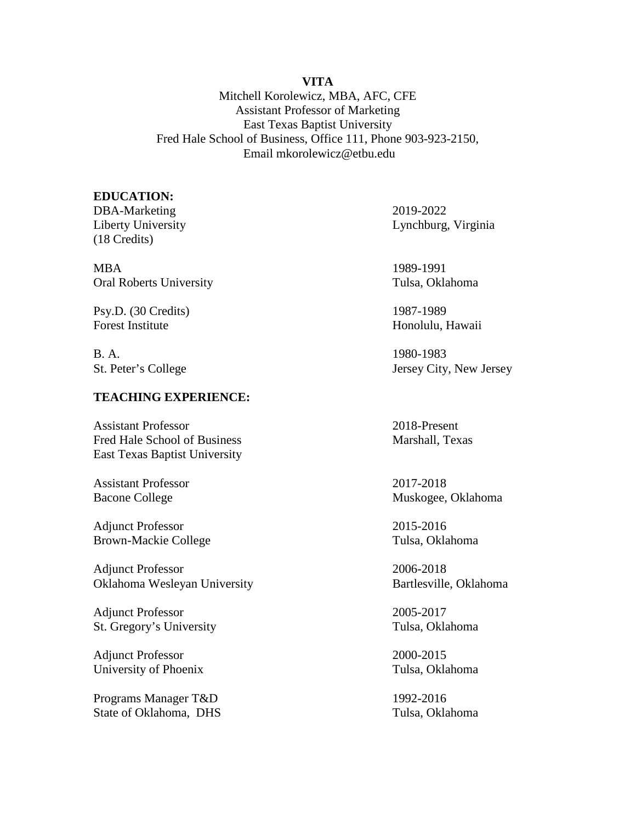### **VITA**

Mitchell Korolewicz, MBA, AFC, CFE Assistant Professor of Marketing East Texas Baptist University Fred Hale School of Business, Office 111, Phone 903-923-2150, Email mkorolewicz@etbu.edu

#### **EDUCATION:**

DBA-Marketing 2019-2022 (18 Credits)

MBA 1989-1991 Oral Roberts University Tulsa, Oklahoma

Psy.D. (30 Credits) 1987-1989 Forest Institute Honolulu, Hawaii

B. A. 1980-1983

# **TEACHING EXPERIENCE:**

Assistant Professor 2018-Present Fred Hale School of Business Marshall, Texas East Texas Baptist University

Assistant Professor 2017-2018

Adjunct Professor 2015-2016 Brown-Mackie College Tulsa, Oklahoma

Adjunct Professor 2006-2018 Oklahoma Wesleyan University Bartlesville, Oklahoma

Adjunct Professor 2005-2017 St. Gregory's University Tulsa, Oklahoma

Adjunct Professor 2000-2015 University of Phoenix Tulsa, Oklahoma

Programs Manager T&D 1992-2016 State of Oklahoma, DHS Tulsa, Oklahoma

Liberty University Lynchburg, Virginia

St. Peter's College Jersey City, New Jersey

Bacone College Muskogee, Oklahoma